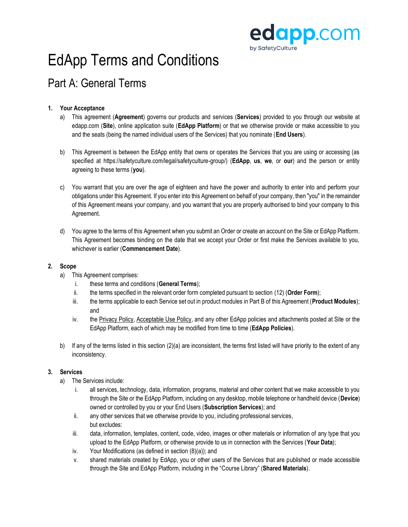

## EdApp Terms and Conditions

### Part A: General Terms

#### **1. Your Acceptance**

- a) This agreement (**Agreement**) governs our products and services (**Services**) provided to you through our website at edapp.com (**Site**), online application suite (**EdApp Platform**) or that we otherwise provide or make accessible to you and the seats (being the named individual users of the Services) that you nominate (**End Users**).
- b) This Agreement is between the EdApp entity that owns or operates the Services that you are using or accessing (as specified at https://safetyculture.com/legal/safetyculture-group/) (**EdApp**, **us**, **we**, or **our**) and the person or entity agreeing to these terms (**you**).
- c) You warrant that you are over the age of eighteen and have the power and authority to enter into and perform your obligations under this Agreement. If you enter into this Agreement on behalf of your company, then "you" in the remainder of this Agreement means your company, and you warrant that you are properly authorised to bind your company to this Agreement.
- d) You agree to the terms of this Agreement when you submit an Order or create an account on the Site or EdApp Platform. This Agreement becomes binding on the date that we accept your Order or first make the Services available to you, whichever is earlier (**Commencement Date**).

#### **2. Scope**

- a) This Agreement comprises:
	- i. these terms and conditions (**General Terms**);
	- ii. the terms specified in the relevant order form completed pursuant to section (12) (**Order Form**);
	- iii. the terms applicable to each Service set out in product modules in Part B of this Agreement (**Product Modules**); and
	- iv. the [Privacy Policy,](https://www.edapp.com/privacy-policy/) [Acceptable Use Policy,](https://www.edapp.com/acceptableuse/) and any other EdApp policies and attachments posted at Site or the EdApp Platform, each of which may be modified from time to time (**EdApp Policies**).
- b) If any of the terms listed in this section (2)(a) are inconsistent, the terms first listed will have priority to the extent of any inconsistency.

#### **3. Services**

- a) The Services include:
	- i. all services, technology, data, information, programs, material and other content that we make accessible to you through the Site or the EdApp Platform, including on any desktop, mobile telephone or handheld device (**Device**) owned or controlled by you or your End Users (**Subscription Services**); and
	- ii. any other services that we otherwise provide to you, including professional services, but excludes:
	- iii. data, information, templates, content, code, video, images or other materials or information of any type that you upload to the EdApp Platform, or otherwise provide to us in connection with the Services (**Your Data**);
	- iv. Your Modifications (as defined in section (8)(a)); and
	- v. shared materials created by EdApp, you or other users of the Services that are published or made accessible through the Site and EdApp Platform, including in the "Course Library" (**Shared Materials**).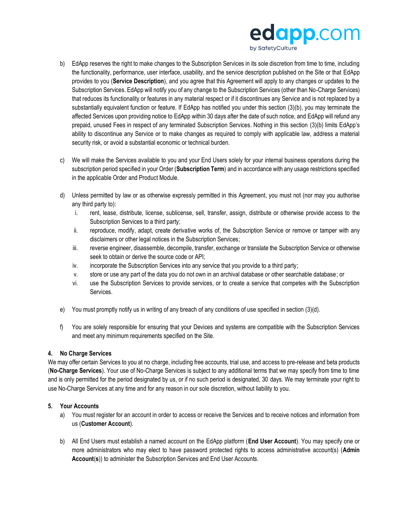

- b) EdApp reserves the right to make changes to the Subscription Services in its sole discretion from time to time, including the functionality, performance, user interface, usability, and the service description published on the Site or that EdApp provides to you (**Service Description**), and you agree that this Agreement will apply to any changes or updates to the Subscription Services. EdApp will notify you of any change to the Subscription Services (other than No-Charge Services) that reduces its functionality or features in any material respect or if it discontinues any Service and is not replaced by a substantially equivalent function or feature. If EdApp has notified you under this section (3)(b), you may terminate the affected Services upon providing notice to EdApp within 30 days after the date of such notice, and EdApp will refund any prepaid, unused Fees in respect of any terminated Subscription Services. Nothing in this section (3)(b) limits EdApp's ability to discontinue any Service or to make changes as required to comply with applicable law, address a material security risk, or avoid a substantial economic or technical burden.
- c) We will make the Services available to you and your End Users solely for your internal business operations during the subscription period specified in your Order (**Subscription Term**) and in accordance with any usage restrictions specified in the applicable Order and Product Module.
- d) Unless permitted by law or as otherwise expressly permitted in this Agreement, you must not (nor may you authorise any third party to):
	- i. rent, lease, distribute, license, sublicense, sell, transfer, assign, distribute or otherwise provide access to the Subscription Services to a third party;
	- ii. reproduce, modify, adapt, create derivative works of, the Subscription Service or remove or tamper with any disclaimers or other legal notices in the Subscription Services;
	- iii. reverse engineer, disassemble, decompile, transfer, exchange or translate the Subscription Service or otherwise seek to obtain or derive the source code or API;
	- iv. incorporate the Subscription Services into any service that you provide to a third party;
	- v. store or use any part of the data you do not own in an archival database or other searchable database; or
	- vi. use the Subscription Services to provide services, or to create a service that competes with the Subscription Services.
- e) You must promptly notify us in writing of any breach of any conditions of use specified in section (3)(d).
- f) You are solely responsible for ensuring that your Devices and systems are compatible with the Subscription Services and meet any minimum requirements specified on the Site.

#### **4. No Charge Services**

We may offer certain Services to you at no charge, including free accounts, trial use, and access to pre-release and beta products (**No-Charge Services**). Your use of No-Charge Services is subject to any additional terms that we may specify from time to time and is only permitted for the period designated by us, or if no such period is designated, 30 days. We may terminate your right to use No-Charge Services at any time and for any reason in our sole discretion, without liability to you.

#### **5. Your Accounts**

- a) You must register for an account in order to access or receive the Services and to receive notices and information from us (**Customer Account**).
- b) All End Users must establish a named account on the EdApp platform (**End User Account**). You may specify one or more administrators who may elect to have password protected rights to access administrative account(s) (**Admin Account**(**s**)) to administer the Subscription Services and End User Accounts.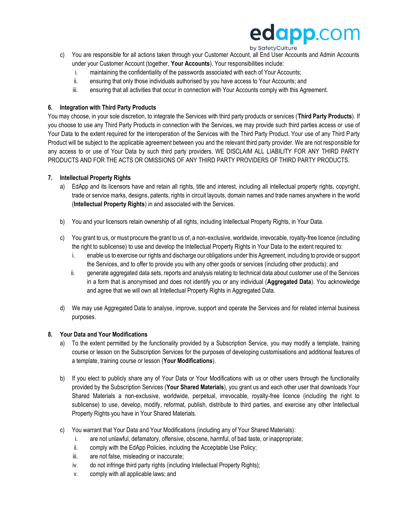## edapp.com

#### by SafetyCulture

- c) You are responsible for all actions taken through your Customer Account, all End User Accounts and Admin Accounts under your Customer Account (together, **Your Accounts**). Your responsibilities include:
	- i. maintaining the confidentiality of the passwords associated with each of Your Accounts;
	- ii. ensuring that only those individuals authorised by you have access to Your Accounts; and
	- iii. ensuring that all activities that occur in connection with Your Accounts comply with this Agreement.

#### **6. Integration with Third Party Products**

You may choose, in your sole discretion, to integrate the Services with third party products or services (**Third Party Products**). If you choose to use any Third Party Products in connection with the Services, we may provide such third parties access or use of Your Data to the extent required for the interoperation of the Services with the Third Party Product. Your use of any Third Party Product will be subject to the applicable agreement between you and the relevant third party provider. We are not responsible for any access to or use of Your Data by such third party providers. WE DISCLAIM ALL LIABILITY FOR ANY THIRD PARTY PRODUCTS AND FOR THE ACTS OR OMISSIONS OF ANY THIRD PARTY PROVIDERS OF THIRD PARTY PRODUCTS.

#### **7. Intellectual Property Rights**

- a) EdApp and its licensors have and retain all rights, title and interest, including all intellectual property rights, copyright, trade or service marks, designs, patents, rights in circuit layouts, domain names and trade names anywhere in the world (**Intellectual Property Rights**) in and associated with the Services.
- b) You and your licensors retain ownership of all rights, including Intellectual Property Rights, in Your Data.
- c) You grant to us, or must procure the grant to us of, a non-exclusive, worldwide, irrevocable, royalty-free licence (including the right to sublicense) to use and develop the Intellectual Property Rights in Your Data to the extent required to:
	- i. enable us to exercise our rights and discharge our obligations under this Agreement, including to provide or support the Services, and to offer to provide you with any other goods or services (including other products); and
	- ii. generate aggregated data sets, reports and analysis relating to technical data about customer use of the Services in a form that is anonymised and does not identify you or any individual (**Aggregated Data**). You acknowledge and agree that we will own all Intellectual Property Rights in Aggregated Data.
- d) We may use Aggregated Data to analyse, improve, support and operate the Services and for related internal business purposes.

#### **8. Your Data and Your Modifications**

- a) To the extent permitted by the functionality provided by a Subscription Service, you may modify a template, training course or lesson on the Subscription Services for the purposes of developing customisations and additional features of a template, training course or lesson (**Your Modifications**).
- b) If you elect to publicly share any of Your Data or Your Modifications with us or other users through the functionality provided by the Subscription Services (**Your Shared Materials**), you grant us and each other user that downloads Your Shared Materials a non-exclusive, worldwide, perpetual, irrevocable, royalty-free licence (including the right to sublicense) to use, develop, modify, reformat, publish, distribute to third parties, and exercise any other Intellectual Property Rights you have in Your Shared Materials.
- c) You warrant that Your Data and Your Modifications (including any of Your Shared Materials):
	- i. are not unlawful, defamatory, offensive, obscene, harmful, of bad taste, or inappropriate;
	- ii. comply with the EdApp Policies, including the Acceptable Use Policy;
	- iii. are not false, misleading or inaccurate;
	- iv. do not infringe third party rights (including Intellectual Property Rights);
	- v. comply with all applicable laws; and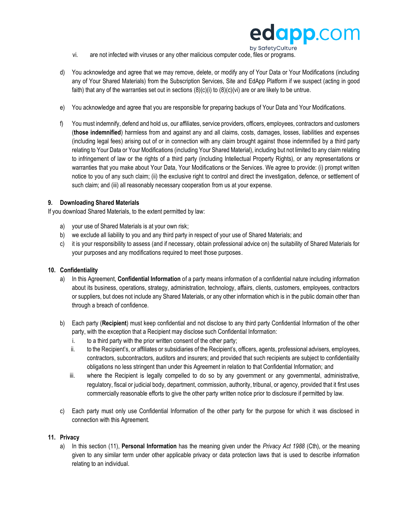

- vi. are not infected with viruses or any other malicious computer code, files or programs.
- d) You acknowledge and agree that we may remove, delete, or modify any of Your Data or Your Modifications (including any of Your Shared Materials) from the Subscription Services, Site and EdApp Platform if we suspect (acting in good faith) that any of the warranties set out in sections (8)(c)(i) to (8)(c)(vi) are or are likely to be untrue.
- e) You acknowledge and agree that you are responsible for preparing backups of Your Data and Your Modifications.
- f) You must indemnify, defend and hold us, our affiliates, service providers, officers, employees, contractors and customers (**those indemnified**) harmless from and against any and all claims, costs, damages, losses, liabilities and expenses (including legal fees) arising out of or in connection with any claim brought against those indemnified by a third party relating to Your Data or Your Modifications (including Your Shared Material), including but not limited to any claim relating to infringement of law or the rights of a third party (including Intellectual Property Rights), or any representations or warranties that you make about Your Data, Your Modifications or the Services. We agree to provide: (i) prompt written notice to you of any such claim; (ii) the exclusive right to control and direct the investigation, defence, or settlement of such claim; and (iii) all reasonably necessary cooperation from us at your expense.

#### **9. Downloading Shared Materials**

If you download Shared Materials, to the extent permitted by law:

- a) your use of Shared Materials is at your own risk;
- b) we exclude all liability to you and any third party in respect of your use of Shared Materials; and
- c) it is your responsibility to assess (and if necessary, obtain professional advice on) the suitability of Shared Materials for your purposes and any modifications required to meet those purposes.

#### **10. Confidentiality**

- a) In this Agreement, **Confidential Information** of a party means information of a confidential nature including information about its business, operations, strategy, administration, technology, affairs, clients, customers, employees, contractors or suppliers, but does not include any Shared Materials, or any other information which is in the public domain other than through a breach of confidence.
- b) Each party (**Recipient**) must keep confidential and not disclose to any third party Confidential Information of the other party, with the exception that a Recipient may disclose such Confidential Information:
	- i. to a third party with the prior written consent of the other party;
	- ii. to the Recipient's, or affiliates or subsidiaries of the Recipient's, officers, agents, professional advisers, employees, contractors, subcontractors, auditors and insurers; and provided that such recipients are subject to confidentiality obligations no less stringent than under this Agreement in relation to that Confidential Information; and
	- iii. where the Recipient is legally compelled to do so by any government or any governmental, administrative, regulatory, fiscal or judicial body, department, commission, authority, tribunal, or agency, provided that it first uses commercially reasonable efforts to give the other party written notice prior to disclosure if permitted by law.
- c) Each party must only use Confidential Information of the other party for the purpose for which it was disclosed in connection with this Agreement.

#### **11. Privacy**

a) In this section (11), **Personal Information** has the meaning given under the *Privacy Act 1988* (Cth), or the meaning given to any similar term under other applicable privacy or data protection laws that is used to describe information relating to an individual.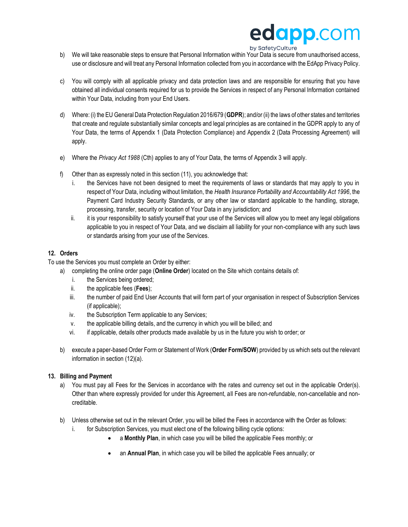# edapp.com

#### by SafetyCulture

- b) We will take reasonable steps to ensure that Personal Information within Your Data is secure from unauthorised access, use or disclosure and will treat any Personal Information collected from you in accordance with the EdApp Privacy Policy.
- c) You will comply with all applicable privacy and data protection laws and are responsible for ensuring that you have obtained all individual consents required for us to provide the Services in respect of any Personal Information contained within Your Data, including from your End Users.
- d) Where: (i) the EU General Data Protection Regulation 2016/679 (**GDPR**); and/or (ii) the laws of other states and territories that create and regulate substantially similar concepts and legal principles as are contained in the GDPR apply to any of Your Data, the terms of Appendix 1 (Data Protection Compliance) and Appendix 2 (Data Processing Agreement) will apply.
- e) Where the *Privacy Act 1988* (Cth) applies to any of Your Data, the terms of Appendix 3 will apply.
- f) Other than as expressly noted in this section (11), you acknowledge that:
	- i. the Services have not been designed to meet the requirements of laws or standards that may apply to you in respect of Your Data, including without limitation, the *Health Insurance Portability and Accountability Act 1996*, the Payment Card Industry Security Standards, or any other law or standard applicable to the handling, storage, processing, transfer, security or location of Your Data in any jurisdiction; and
	- ii. it is your responsibility to satisfy yourself that your use of the Services will allow you to meet any legal obligations applicable to you in respect of Your Data, and we disclaim all liability for your non-compliance with any such laws or standards arising from your use of the Services.

#### **12. Orders**

- To use the Services you must complete an Order by either:
	- a) completing the online order page (**Online Order**) located on the Site which contains details of:
		- i. the Services being ordered;
		- ii. the applicable fees (**Fees**);
		- iii. the number of paid End User Accounts that will form part of your organisation in respect of Subscription Services (if applicable);
		- iv. the Subscription Term applicable to any Services;
		- v. the applicable billing details, and the currency in which you will be billed; and
		- vi. if applicable, details other products made available by us in the future you wish to order; or
	- b) execute a paper-based Order Form or Statement of Work (**Order Form/SOW**) provided by us which sets out the relevant information in section (12)(a).

#### **13. Billing and Payment**

- a) You must pay all Fees for the Services in accordance with the rates and currency set out in the applicable Order(s). Other than where expressly provided for under this Agreement, all Fees are non-refundable, non-cancellable and noncreditable.
- b) Unless otherwise set out in the relevant Order, you will be billed the Fees in accordance with the Order as follows:
	- i. for Subscription Services, you must elect one of the following billing cycle options:
		- a **Monthly Plan**, in which case you will be billed the applicable Fees monthly; or
		- an **Annual Plan**, in which case you will be billed the applicable Fees annually; or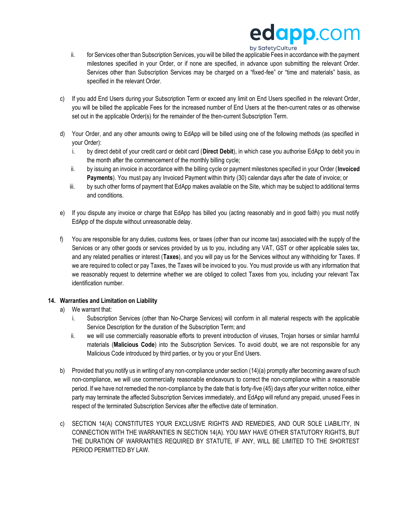### edapp.com by SafetyCulture

- ii. for Services other than Subscription Services, you will be billed the applicable Fees in accordance with the payment milestones specified in your Order, or if none are specified, in advance upon submitting the relevant Order. Services other than Subscription Services may be charged on a "fixed-fee" or "time and materials" basis, as specified in the relevant Order.
- c) If you add End Users during your Subscription Term or exceed any limit on End Users specified in the relevant Order, you will be billed the applicable Fees for the increased number of End Users at the then-current rates or as otherwise set out in the applicable Order(s) for the remainder of the then-current Subscription Term.
- d) Your Order, and any other amounts owing to EdApp will be billed using one of the following methods (as specified in your Order):
	- i. by direct debit of your credit card or debit card (**Direct Debit**), in which case you authorise EdApp to debit you in the month after the commencement of the monthly billing cycle;
	- ii. by issuing an invoice in accordance with the billing cycle or payment milestones specified in your Order (**Invoiced Payments**). You must pay any Invoiced Payment within thirty (30) calendar days after the date of invoice; or
	- iii. by such other forms of payment that EdApp makes available on the Site, which may be subject to additional terms and conditions.
- e) If you dispute any invoice or charge that EdApp has billed you (acting reasonably and in good faith) you must notify EdApp of the dispute without unreasonable delay.
- f) You are responsible for any duties, customs fees, or taxes (other than our income tax) associated with the supply of the Services or any other goods or services provided by us to you, including any VAT, GST or other applicable sales tax, and any related penalties or interest (**Taxes**), and you will pay us for the Services without any withholding for Taxes. If we are required to collect or pay Taxes, the Taxes will be invoiced to you. You must provide us with any information that we reasonably request to determine whether we are obliged to collect Taxes from you, including your relevant Tax identification number.

#### **14. Warranties and Limitation on Liability**

- a) We warrant that:
	- i. Subscription Services (other than No-Charge Services) will conform in all material respects with the applicable Service Description for the duration of the Subscription Term; and
	- ii. we will use commercially reasonable efforts to prevent introduction of viruses, Trojan horses or similar harmful materials (**Malicious Code**) into the Subscription Services. To avoid doubt, we are not responsible for any Malicious Code introduced by third parties, or by you or your End Users.
- b) Provided that you notify us in writing of any non-compliance under section (14)(a) promptly after becoming aware of such non-compliance, we will use commercially reasonable endeavours to correct the non-compliance within a reasonable period. If we have not remedied the non-compliance by the date that is forty-five (45) days after your written notice, either party may terminate the affected Subscription Services immediately, and EdApp will refund any prepaid, unused Fees in respect of the terminated Subscription Services after the effective date of termination.
- c) SECTION 14(A) CONSTITUTES YOUR EXCLUSIVE RIGHTS AND REMEDIES, AND OUR SOLE LIABILITY, IN CONNECTION WITH THE WARRANTIES IN SECTION 14(A). YOU MAY HAVE OTHER STATUTORY RIGHTS, BUT THE DURATION OF WARRANTIES REQUIRED BY STATUTE, IF ANY, WILL BE LIMITED TO THE SHORTEST PERIOD PERMITTED BY LAW.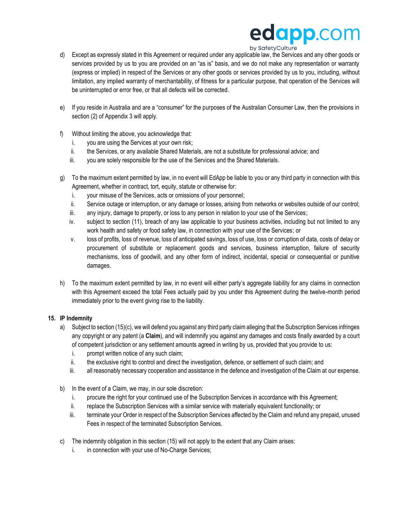## edapp.com

#### by SafetyCulture

- d) Except as expressly stated in this Agreement or required under any applicable law, the Services and any other goods or services provided by us to you are provided on an "as is" basis, and we do not make any representation or warranty (express or implied) in respect of the Services or any other goods or services provided by us to you, including, without limitation, any implied warranty of merchantability, of fitness for a particular purpose, that operation of the Services will be uninterrupted or error free, or that all defects will be corrected.
- e) If you reside in Australia and are a "consumer" for the purposes of the Australian Consumer Law, then the provisions in section (2) of Appendix 3 will apply.
- f) Without limiting the above, you acknowledge that:
	- i. you are using the Services at your own risk;
	- ii. the Services, or any available Shared Materials, are not a substitute for professional advice; and
	- iii. you are solely responsible for the use of the Services and the Shared Materials.
- g) To the maximum extent permitted by law, in no event will EdApp be liable to you or any third party in connection with this Agreement, whether in contract, tort, equity, statute or otherwise for:
	- i. your misuse of the Services, acts or omissions of your personnel;
	- ii. Service outage or interruption, or any damage or losses, arising from networks or websites outside of our control;
	- iii. any injury, damage to property, or loss to any person in relation to your use of the Services;
	- iv. subject to section (11), breach of any law applicable to your business activities, including but not limited to any work health and safety or food safety law, in connection with your use of the Services; or
	- v. loss of profits, loss of revenue, loss of anticipated savings, loss of use, loss or corruption of data, costs of delay or procurement of substitute or replacement goods and services, business interruption, failure of security mechanisms, loss of goodwill, and any other form of indirect, incidental, special or consequential or punitive damages.
- h) To the maximum extent permitted by law, in no event will either party's aggregate liability for any claims in connection with this Agreement exceed the total Fees actually paid by you under this Agreement during the twelve-month period immediately prior to the event giving rise to the liability.

#### **15. IP Indemnity**

- a) Subject to section (15)(c), we will defend you against any third party claim alleging that the Subscription Services infringes any copyright or any patent (a **Claim**), and will indemnify you against any damages and costs finally awarded by a court of competent jurisdiction or any settlement amounts agreed in writing by us, provided that you provide to us:
	- i. prompt written notice of any such claim;
	- ii. the exclusive right to control and direct the investigation, defence, or settlement of such claim; and
	- iii. all reasonably necessary cooperation and assistance in the defence and investigation of the Claim at our expense.
- b) In the event of a Claim, we may, in our sole discretion:
	- i. procure the right for your continued use of the Subscription Services in accordance with this Agreement;
	- ii. replace the Subscription Services with a similar service with materially equivalent functionality; or
	- iii. terminate your Order in respect of the Subscription Services affected by the Claim and refund any prepaid, unused Fees in respect of the terminated Subscription Services.
- c) The indemnity obligation in this section (15) will not apply to the extent that any Claim arises:
	- i. in connection with your use of No-Charge Services;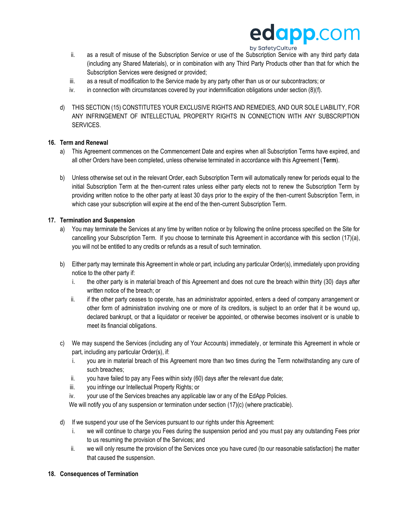

- ii. as a result of misuse of the Subscription Service or use of the Subscription Service with any third party data (including any Shared Materials), or in combination with any Third Party Products other than that for which the Subscription Services were designed or provided;
- iii. as a result of modification to the Service made by any party other than us or our subcontractors; or
- iv. in connection with circumstances covered by your indemnification obligations under section (8)(f).
- d) THIS SECTION (15) CONSTITUTES YOUR EXCLUSIVE RIGHTS AND REMEDIES, AND OUR SOLE LIABILITY, FOR ANY INFRINGEMENT OF INTELLECTUAL PROPERTY RIGHTS IN CONNECTION WITH ANY SUBSCRIPTION SERVICES.

#### **16. Term and Renewal**

- a) This Agreement commences on the Commencement Date and expires when all Subscription Terms have expired, and all other Orders have been completed, unless otherwise terminated in accordance with this Agreement (**Term**).
- b) Unless otherwise set out in the relevant Order, each Subscription Term will automatically renew for periods equal to the initial Subscription Term at the then-current rates unless either party elects not to renew the Subscription Term by providing written notice to the other party at least 30 days prior to the expiry of the then-current Subscription Term, in which case your subscription will expire at the end of the then-current Subscription Term.

#### **17. Termination and Suspension**

- a) You may terminate the Services at any time by written notice or by following the online process specified on the Site for cancelling your Subscription Term. If you choose to terminate this Agreement in accordance with this section (17)(a), you will not be entitled to any credits or refunds as a result of such termination.
- b) Either party may terminate this Agreement in whole or part, including any particular Order(s), immediately upon providing notice to the other party if:
	- i. the other party is in material breach of this Agreement and does not cure the breach within thirty (30) days after written notice of the breach; or
	- ii. if the other party ceases to operate, has an administrator appointed, enters a deed of company arrangement or other form of administration involving one or more of its creditors, is subject to an order that it be wound up, declared bankrupt, or that a liquidator or receiver be appointed, or otherwise becomes insolvent or is unable to meet its financial obligations.
- c) We may suspend the Services (including any of Your Accounts) immediately, or terminate this Agreement in whole or part, including any particular Order(s), if:
	- i. you are in material breach of this Agreement more than two times during the Term notwithstanding any cure of such breaches;
	- ii. you have failed to pay any Fees within sixty (60) days after the relevant due date;
	- iii. you infringe our Intellectual Property Rights; or
	- iv. your use of the Services breaches any applicable law or any of the EdApp Policies.

We will notify you of any suspension or termination under section (17)(c) (where practicable).

- d) If we suspend your use of the Services pursuant to our rights under this Agreement:
	- i. we will continue to charge you Fees during the suspension period and you must pay any outstanding Fees prior to us resuming the provision of the Services; and
	- ii. we will only resume the provision of the Services once you have cured (to our reasonable satisfaction) the matter that caused the suspension.

#### **18. Consequences of Termination**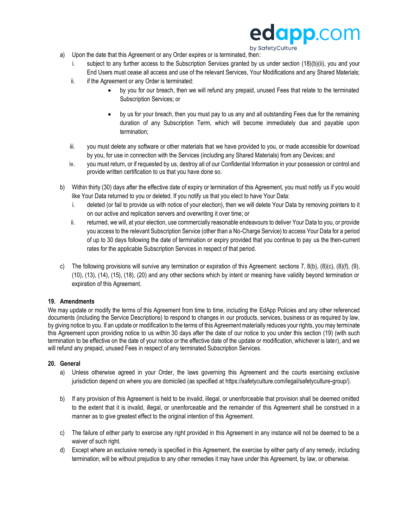

by SafetyCulture

- a) Upon the date that this Agreement or any Order expires or is terminated, then:
	- i. subject to any further access to the Subscription Services granted by us under section (18)(b)(ii), you and your End Users must cease all access and use of the relevant Services, Your Modifications and any Shared Materials;
	- ii. if the Agreement or any Order is terminated:
		- by you for our breach, then we will refund any prepaid, unused Fees that relate to the terminated Subscription Services; or
		- by us for your breach, then you must pay to us any and all outstanding Fees due for the remaining duration of any Subscription Term, which will become immediately due and payable upon termination;
	- iii. you must delete any software or other materials that we have provided to you, or made accessible for download by you, for use in connection with the Services (including any Shared Materials) from any Devices; and
	- iv. you must return, or if requested by us, destroy all of our Confidential Information in your possession or control and provide written certification to us that you have done so.
- b) Within thirty (30) days after the effective date of expiry or termination of this Agreement, you must notify us if you would like Your Data returned to you or deleted. If you notify us that you elect to have Your Data:
	- i. deleted (or fail to provide us with notice of your election), then we will delete Your Data by removing pointers to it on our active and replication servers and overwriting it over time; or
	- ii. returned, we will, at your election, use commercially reasonable endeavours to deliver Your Data to you, or provide you access to the relevant Subscription Service (other than a No-Charge Service) to access Your Data for a period of up to 30 days following the date of termination or expiry provided that you continue to pay us the then-current rates for the applicable Subscription Services in respect of that period.
- c) The following provisions will survive any termination or expiration of this Agreement: sections 7, 8(b), (8)(c), (8)(f), (9), (10), (13), (14), (15), (18), (20) and any other sections which by intent or meaning have validity beyond termination or expiration of this Agreement.

#### **19. Amendments**

We may update or modify the terms of this Agreement from time to time, including the EdApp Policies and any other referenced documents (including the Service Descriptions) to respond to changes in our products, services, business or as required by law, by giving notice to you. If an update or modification to the terms of this Agreement materially reduces your rights, you may terminate this Agreement upon providing notice to us within 30 days after the date of our notice to you under this section (19) (with such termination to be effective on the date of your notice or the effective date of the update or modification, whichever is later), and we will refund any prepaid, unused Fees in respect of any terminated Subscription Services.

#### **20. General**

- a) Unless otherwise agreed in your Order, the laws governing this Agreement and the courts exercising exclusive jurisdiction depend on where you are domiciled (as specified at https://safetyculture.com/legal/safetyculture-group/).
- b) If any provision of this Agreement is held to be invalid, illegal, or unenforceable that provision shall be deemed omitted to the extent that it is invalid, illegal, or unenforceable and the remainder of this Agreement shall be construed in a manner as to give greatest effect to the original intention of this Agreement.
- c) The failure of either party to exercise any right provided in this Agreement in any instance will not be deemed to be a waiver of such right.
- d) Except where an exclusive remedy is specified in this Agreement, the exercise by either party of any remedy, including termination, will be without prejudice to any other remedies it may have under this Agreement, by law, or otherwise.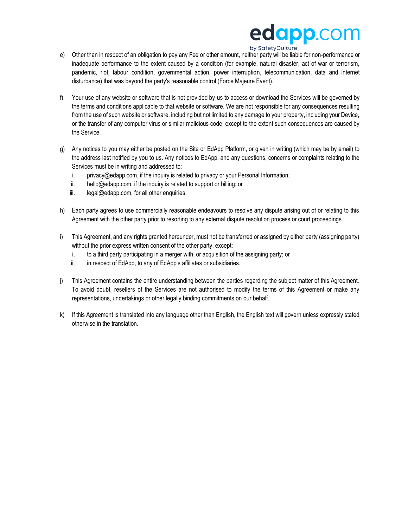## edapp.com by SafetyCulture

- e) Other than in respect of an obligation to pay any Fee or other amount, neither party will be liable for non-performance or inadequate performance to the extent caused by a condition (for example, natural disaster, act of war or terrorism, pandemic, riot, labour condition, governmental action, power interruption, telecommunication, data and internet disturbance) that was beyond the party's reasonable control (Force Majeure Event).
- f) Your use of any website or software that is not provided by us to access or download the Services will be governed by the terms and conditions applicable to that website or software. We are not responsible for any consequences resulting from the use of such website or software, including but not limited to any damage to your property, including your Device, or the transfer of any computer virus or similar malicious code, except to the extent such consequences are caused by the Service.
- g) Any notices to you may either be posted on the Site or EdApp Platform, or given in writing (which may be by email) to the address last notified by you to us. Any notices to EdApp, and any questions, concerns or complaints relating to the Services must be in writing and addressed to:
	- i. privacy@edapp.com, if the inquiry is related to privacy or your Personal Information;
	- ii. hello@edapp.com, if the inquiry is related to support or billing; or
	- iii. legal@edapp.com, for all other enquiries.
- h) Each party agrees to use commercially reasonable endeavours to resolve any dispute arising out of or relating to this Agreement with the other party prior to resorting to any external dispute resolution process or court proceedings.
- i) This Agreement, and any rights granted hereunder, must not be transferred or assigned by either party (assigning party) without the prior express written consent of the other party, except:
	- i. to a third party participating in a merger with, or acquisition of the assigning party; or
	- ii. in respect of EdApp, to any of EdApp's affiliates or subsidiaries.
- j) This Agreement contains the entire understanding between the parties regarding the subject matter of this Agreement. To avoid doubt, resellers of the Services are not authorised to modify the terms of this Agreement or make any representations, undertakings or other legally binding commitments on our behalf.
- k) If this Agreement is translated into any language other than English, the English text will govern unless expressly stated otherwise in the translation.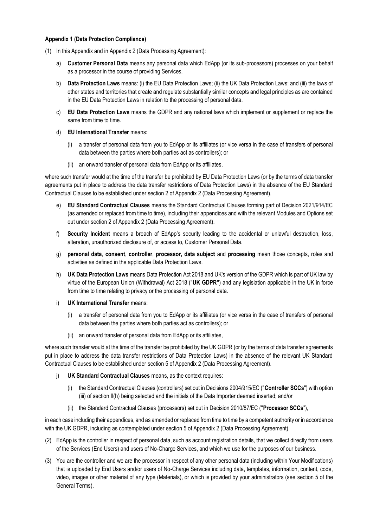#### **Appendix 1 (Data Protection Compliance)**

- (1) In this Appendix and in Appendix 2 (Data Processing Agreement):
	- a) **Customer Personal Data** means any personal data which EdApp (or its sub-processors) processes on your behalf as a processor in the course of providing Services.
	- b) **Data Protection Laws** means: (i) the EU Data Protection Laws; (ii) the UK Data Protection Laws; and (iii) the laws of other states and territories that create and regulate substantially similar concepts and legal principles as are contained in the EU Data Protection Laws in relation to the processing of personal data.
	- c) **EU Data Protection Laws** means the GDPR and any national laws which implement or supplement or replace the same from time to time.
	- d) **EU International Transfer** means:
		- (i) a transfer of personal data from you to EdApp or its affiliates (or vice versa in the case of transfers of personal data between the parties where both parties act as controllers); or
		- (ii) an onward transfer of personal data from EdApp or its affiliates,

where such transfer would at the time of the transfer be prohibited by EU Data Protection Laws (or by the terms of data transfer agreements put in place to address the data transfer restrictions of Data Protection Laws) in the absence of the EU Standard Contractual Clauses to be established under section 2 of Appendix 2 (Data Processing Agreement).

- e) **EU Standard Contractual Clauses** means the Standard Contractual Clauses forming part of Decision 2021/914/EC (as amended or replaced from time to time), including their appendices and with the relevant Modules and Options set out under section 2 of Appendix 2 (Data Processing Agreement).
- f) **Security Incident** means a breach of EdApp's security leading to the accidental or unlawful destruction, loss, alteration, unauthorized disclosure of, or access to, Customer Personal Data.
- g) **personal data**, **consent**, **controller**, **processor, data subject** and **processing** mean those concepts, roles and activities as defined in the applicable Data Protection Laws.
- h) **UK Data Protection Laws** means Data Protection Act 2018 and UK's version of the GDPR which is part of UK law by virtue of the European Union (Withdrawal) Act 2018 ("**UK GDPR"**) and any legislation applicable in the UK in force from time to time relating to privacy or the processing of personal data.
- i) **UK International Transfer** means:
	- (i) a transfer of personal data from you to EdApp or its affiliates (or vice versa in the case of transfers of personal data between the parties where both parties act as controllers); or
	- (ii) an onward transfer of personal data from EdApp or its affiliates,

where such transfer would at the time of the transfer be prohibited by the UK GDPR (or by the terms of data transfer agreements put in place to address the data transfer restrictions of Data Protection Laws) in the absence of the relevant UK Standard Contractual Clauses to be established under section 5 of Appendix 2 (Data Processing Agreement).

- j) **UK Standard Contractual Clauses** means, as the context requires:
	- (i) the Standard Contractual Clauses (controllers) set out in Decisions 2004/915/EC ("**Controller SCCs**") with option (iii) of section II(h) being selected and the initials of the Data Importer deemed inserted; and/or
	- (ii) the Standard Contractual Clauses (processors) set out in Decision 2010/87/EC ("**Processor SCCs**"),

in each case including their appendices, and as amended or replaced from time to time by a competent authority or in accordance with the UK GDPR, including as contemplated under section 5 of Appendix 2 (Data Processing Agreement).

- (2) EdApp is the controller in respect of personal data, such as account registration details, that we collect directly from users of the Services (End Users) and users of No-Charge Services, and which we use for the purposes of our business.
- (3) You are the controller and we are the processor in respect of any other personal data (including within Your Modifications) that is uploaded by End Users and/or users of No-Charge Services including data, templates, information, content, code, video, images or other material of any type (Materials), or which is provided by your administrators (see section 5 of the General Terms).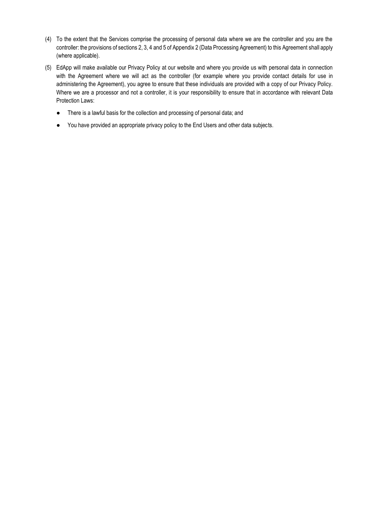- (4) To the extent that the Services comprise the processing of personal data where we are the controller and you are the controller: the provisions of sections 2, 3, 4 and 5 of Appendix 2 (Data Processing Agreement) to this Agreement shall apply (where applicable).
- (5) EdApp will make available our Privacy Policy at our website and where you provide us with personal data in connection with the Agreement where we will act as the controller (for example where you provide contact details for use in administering the Agreement), you agree to ensure that these individuals are provided with a copy of our Privacy Policy. Where we are a processor and not a controller, it is your responsibility to ensure that in accordance with relevant Data Protection Laws:
	- There is a lawful basis for the collection and processing of personal data; and
	- You have provided an appropriate privacy policy to the End Users and other data subjects.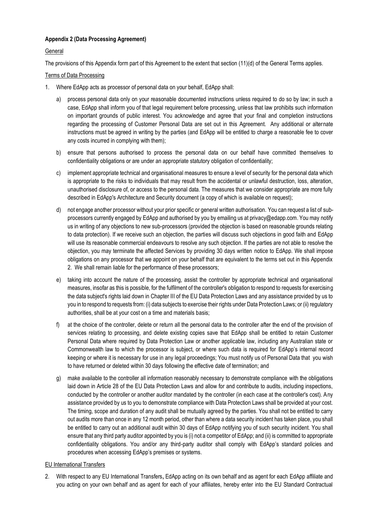#### **Appendix 2 (Data Processing Agreement)**

#### **General**

The provisions of this Appendix form part of this Agreement to the extent that section (11)(d) of the General Terms applies.

#### Terms of Data Processing

- 1. Where EdApp acts as processor of personal data on your behalf, EdApp shall:
	- a) process personal data only on your reasonable documented instructions unless required to do so by law; in such a case, EdApp shall inform you of that legal requirement before processing, unless that law prohibits such information on important grounds of public interest. You acknowledge and agree that your final and completion instructions regarding the processing of Customer Personal Data are set out in this Agreement. Any additional or alternate instructions must be agreed in writing by the parties (and EdApp will be entitled to charge a reasonable fee to cover any costs incurred in complying with them);
	- b) ensure that persons authorised to process the personal data on our behalf have committed themselves to confidentiality obligations or are under an appropriate statutory obligation of confidentiality;
	- c) implement appropriate technical and organisational measures to ensure a level of security for the personal data which is appropriate to the risks to individuals that may result from the accidental or unlawful destruction, loss, alteration, unauthorised disclosure of, or access to the personal data. The measures that we consider appropriate are more fully described in EdApp's Architecture and Security document (a copy of which is available on request);
	- d) not engage another processor without your prior specific or general written authorisation. You can request a list of subprocessors currently engaged by EdApp and authorised by you by emailing us at privacy@edapp.com. You may notify us in writing of any objections to new sub-processors (provided the objection is based on reasonable grounds relating to data protection). If we receive such an objection, the parties will discuss such objections in good faith and EdApp will use its reasonable commercial endeavours to resolve any such objection. If the parties are not able to resolve the objection, you may terminate the affected Services by providing 30 days written notice to EdApp. We shall impose obligations on any processor that we appoint on your behalf that are equivalent to the terms set out in this Appendix 2. We shall remain liable for the performance of these processors;
	- e) taking into account the nature of the processing, assist the controller by appropriate technical and organisational measures, insofar as this is possible, for the fulfilment of the controller's obligation to respond to requests for exercising the data subject's rights laid down in Chapter III of the EU Data Protection Laws and any assistance provided by us to you in to respond to requests from: (i) data subjects to exercise their rights under Data Protection Laws; or (ii) regulatory authorities, shall be at your cost on a time and materials basis;
	- f) at the choice of the controller, delete or return all the personal data to the controller after the end of the provision of services relating to processing, and delete existing copies save that EdApp shall be entitled to retain Customer Personal Data where required by Data Protection Law or another applicable law, including any Australian state or Commonwealth law to which the processor is subject, or where such data is required for EdApp's internal record keeping or where it is necessary for use in any legal proceedings; You must notify us of Personal Data that you wish to have returned or deleted within 30 days following the effective date of termination; and
	- g) make available to the controller all information reasonably necessary to demonstrate compliance with the obligations laid down in Article 28 of the EU Data Protection Laws and allow for and contribute to audits, including inspections, conducted by the controller or another auditor mandated by the controller (in each case at the controller's cost). Any assistance provided by us to you to demonstrate compliance with Data Protection Laws shall be provided at your cost. The timing, scope and duration of any audit shall be mutually agreed by the parties. You shall not be entitled to carry out audits more than once in any 12 month period, other than where a data security incident has taken place, you shall be entitled to carry out an additional audit within 30 days of EdApp notifying you of such security incident. You shall ensure that any third party auditor appointed by you is (i) not a competitor of EdApp; and (ii) is committed to appropriate confidentiality obligations. You and/or any third-party auditor shall comply with EdApp's standard policies and procedures when accessing EdApp's premises or systems.

#### EU International Transfers

2. With respect to any EU International Transfers**,** EdApp acting on its own behalf and as agent for each EdApp affiliate and you acting on your own behalf and as agent for each of your affiliates, hereby enter into the EU Standard Contractual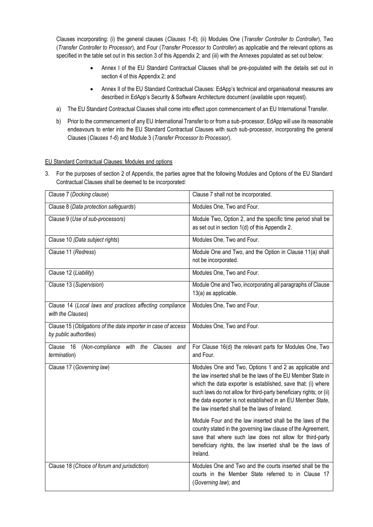Clauses incorporating: (i) the general clauses (*Clauses 1-6*); (ii) Modules One (*Transfer Controller to Controller*), Two (*Transfer Controller to Processor*), and Four (*Transfer Processor to Controller*) as applicable and the relevant options as specified in the table set out in this section 3 of this Appendix 2; and (iii) with the Annexes populated as set out below:

- Annex I of the EU Standard Contractual Clauses shall be pre-populated with the details set out in section 4 of this Appendix 2; and
- Annex II of the EU Standard Contractual Clauses: EdApp's technical and organisational measures are described in EdApp's Security & Software Architecture document (available upon request).
- a) The EU Standard Contractual Clauses shall come into effect upon commencement of an EU International Transfer.
- b) Prior to the commencement of any EU International Transfer to or from a sub-processor, EdApp will use its reasonable endeavours to enter into the EU Standard Contractual Clauses with such sub-processor, incorporating the general Clauses (*Clauses 1-6*) and Module 3 (*Transfer Processor to Processor*).

#### EU Standard Contractual Clauses: Modules and options

3. For the purposes of section 2 of Appendix, the parties agree that the following Modules and Options of the EU Standard Contractual Clauses shall be deemed to be incorporated:

| Clause 7 (Docking clause)                                                               | Clause 7 shall not be incorporated.                                                                                                                                                                                                                                                                                                                                           |
|-----------------------------------------------------------------------------------------|-------------------------------------------------------------------------------------------------------------------------------------------------------------------------------------------------------------------------------------------------------------------------------------------------------------------------------------------------------------------------------|
| Clause 8 (Data protection safeguards)                                                   | Modules One, Two and Four.                                                                                                                                                                                                                                                                                                                                                    |
| Clause 9 (Use of sub-processors)                                                        | Module Two, Option 2, and the specific time period shall be<br>as set out in section 1(d) of this Appendix 2.                                                                                                                                                                                                                                                                 |
| Clause 10 (Data subject rights)                                                         | Modules One, Two and Four.                                                                                                                                                                                                                                                                                                                                                    |
| Clause 11 (Redress)                                                                     | Module One and Two, and the Option in Clause 11(a) shall<br>not be incorporated.                                                                                                                                                                                                                                                                                              |
| Clause 12 (Liability)                                                                   | Modules One, Two and Four.                                                                                                                                                                                                                                                                                                                                                    |
| Clause 13 (Supervision)                                                                 | Module One and Two, incorporating all paragraphs of Clause<br>13(a) as applicable.                                                                                                                                                                                                                                                                                            |
| Clause 14 (Local laws and practices affecting compliance<br>with the Clauses)           | Modules One, Two and Four.                                                                                                                                                                                                                                                                                                                                                    |
| Clause 15 (Obligations of the data importer in case of access<br>by public authorities) | Modules One, Two and Four.                                                                                                                                                                                                                                                                                                                                                    |
| Clause 16 (Non-compliance with the Clauses<br>and<br>termination)                       | For Clause 16(d) the relevant parts for Modules One, Two<br>and Four.                                                                                                                                                                                                                                                                                                         |
| Clause 17 (Governing law)                                                               | Modules One and Two, Options 1 and 2 as applicable and<br>the law inserted shall be the laws of the EU Member State in<br>which the data exporter is established, save that: (i) where<br>such laws do not allow for third-party beneficiary rights; or (ii)<br>the data exporter is not established in an EU Member State,<br>the law inserted shall be the laws of Ireland. |
|                                                                                         | Module Four and the law inserted shall be the laws of the<br>country stated in the governing law clause of the Agreement,<br>save that where such law does not allow for third-party<br>beneficiary rights, the law inserted shall be the laws of<br>Ireland.                                                                                                                 |
| Clause 18 (Choice of forum and jurisdiction)                                            | Modules One and Two and the courts inserted shall be the<br>courts in the Member State referred to in Clause 17<br>(Governing law); and                                                                                                                                                                                                                                       |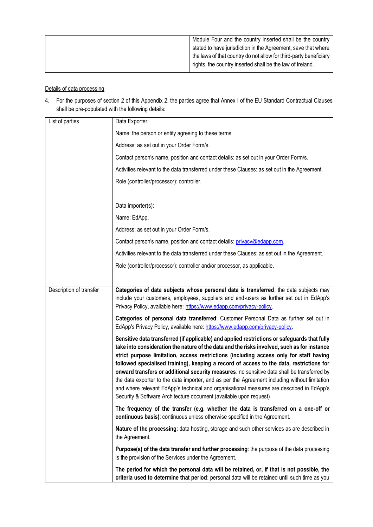|--|

#### Details of data processing

4. For the purposes of section 2 of this Appendix 2, the parties agree that Annex I of the EU Standard Contractual Clauses shall be pre-populated with the following details:

| List of parties         | Data Exporter:                                                                                                                                                                                                                                                                                                                                                                                                                                                                                                                                                                                                                                                                                                                                        |
|-------------------------|-------------------------------------------------------------------------------------------------------------------------------------------------------------------------------------------------------------------------------------------------------------------------------------------------------------------------------------------------------------------------------------------------------------------------------------------------------------------------------------------------------------------------------------------------------------------------------------------------------------------------------------------------------------------------------------------------------------------------------------------------------|
|                         | Name: the person or entity agreeing to these terms.                                                                                                                                                                                                                                                                                                                                                                                                                                                                                                                                                                                                                                                                                                   |
|                         | Address: as set out in your Order Form/s.                                                                                                                                                                                                                                                                                                                                                                                                                                                                                                                                                                                                                                                                                                             |
|                         | Contact person's name, position and contact details: as set out in your Order Form/s.                                                                                                                                                                                                                                                                                                                                                                                                                                                                                                                                                                                                                                                                 |
|                         | Activities relevant to the data transferred under these Clauses: as set out in the Agreement.                                                                                                                                                                                                                                                                                                                                                                                                                                                                                                                                                                                                                                                         |
|                         | Role (controller/processor): controller.                                                                                                                                                                                                                                                                                                                                                                                                                                                                                                                                                                                                                                                                                                              |
|                         |                                                                                                                                                                                                                                                                                                                                                                                                                                                                                                                                                                                                                                                                                                                                                       |
|                         | Data importer(s):                                                                                                                                                                                                                                                                                                                                                                                                                                                                                                                                                                                                                                                                                                                                     |
|                         | Name: EdApp.                                                                                                                                                                                                                                                                                                                                                                                                                                                                                                                                                                                                                                                                                                                                          |
|                         | Address: as set out in your Order Form/s.                                                                                                                                                                                                                                                                                                                                                                                                                                                                                                                                                                                                                                                                                                             |
|                         | Contact person's name, position and contact details: privacy@edapp.com.                                                                                                                                                                                                                                                                                                                                                                                                                                                                                                                                                                                                                                                                               |
|                         | Activities relevant to the data transferred under these Clauses: as set out in the Agreement.                                                                                                                                                                                                                                                                                                                                                                                                                                                                                                                                                                                                                                                         |
|                         | Role (controller/processor): controller and/or processor, as applicable.                                                                                                                                                                                                                                                                                                                                                                                                                                                                                                                                                                                                                                                                              |
|                         |                                                                                                                                                                                                                                                                                                                                                                                                                                                                                                                                                                                                                                                                                                                                                       |
| Description of transfer | Categories of data subjects whose personal data is transferred: the data subjects may<br>include your customers, employees, suppliers and end-users as further set out in EdApp's<br>Privacy Policy, available here: https://www.edapp.com/privacy-policy.                                                                                                                                                                                                                                                                                                                                                                                                                                                                                            |
|                         | Categories of personal data transferred: Customer Personal Data as further set out in<br>EdApp's Privacy Policy, available here: https://www.edapp.com/privacy-policy.                                                                                                                                                                                                                                                                                                                                                                                                                                                                                                                                                                                |
|                         | Sensitive data transferred (if applicable) and applied restrictions or safeguards that fully<br>take into consideration the nature of the data and the risks involved, such as for instance<br>strict purpose limitation, access restrictions (including access only for staff having<br>followed specialised training), keeping a record of access to the data, restrictions for<br>onward transfers or additional security measures: no sensitive data shall be transferred by<br>the data exporter to the data importer, and as per the Agreement including without limitation<br>and where relevant EdApp's technical and organisational measures are described in EdApp's<br>Security & Software Architecture document (available upon request). |
|                         | The frequency of the transfer (e.g. whether the data is transferred on a one-off or<br>continuous basis): continuous unless otherwise specified in the Agreement.                                                                                                                                                                                                                                                                                                                                                                                                                                                                                                                                                                                     |
|                         | Nature of the processing: data hosting, storage and such other services as are described in<br>the Agreement.                                                                                                                                                                                                                                                                                                                                                                                                                                                                                                                                                                                                                                         |
|                         | Purpose(s) of the data transfer and further processing: the purpose of the data processing<br>is the provision of the Services under the Agreement.                                                                                                                                                                                                                                                                                                                                                                                                                                                                                                                                                                                                   |
|                         | The period for which the personal data will be retained, or, if that is not possible, the<br>criteria used to determine that period: personal data will be retained until such time as you                                                                                                                                                                                                                                                                                                                                                                                                                                                                                                                                                            |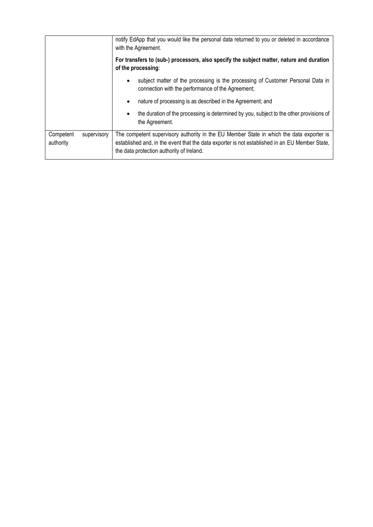|                        |             | notify EdApp that you would like the personal data returned to you or deleted in accordance<br>with the Agreement.                                                                                                                      |  |
|------------------------|-------------|-----------------------------------------------------------------------------------------------------------------------------------------------------------------------------------------------------------------------------------------|--|
|                        |             | For transfers to (sub-) processors, also specify the subject matter, nature and duration<br>of the processing:                                                                                                                          |  |
|                        |             | subject matter of the processing is the processing of Customer Personal Data in<br>connection with the performance of the Agreement;                                                                                                    |  |
|                        |             | nature of processing is as described in the Agreement; and<br>$\bullet$                                                                                                                                                                 |  |
|                        |             | the duration of the processing is determined by you, subject to the other provisions of<br>$\bullet$<br>the Agreement.                                                                                                                  |  |
| Competent<br>authority | supervisory | The competent supervisory authority in the EU Member State in which the data exporter is<br>established and, in the event that the data exporter is not established in an EU Member State,<br>the data protection authority of Ireland. |  |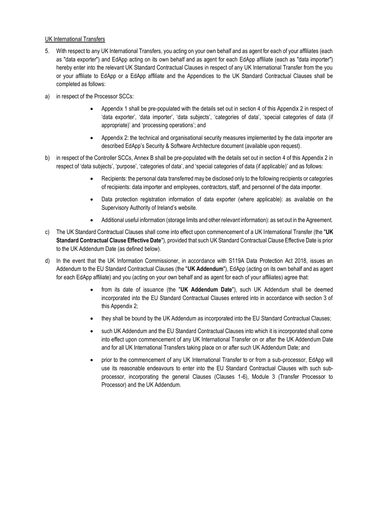#### UK International Transfers

- 5. With respect to any UK International Transfers, you acting on your own behalf and as agent for each of your affiliates (each as "data exporter") and EdApp acting on its own behalf and as agent for each EdApp affiliate (each as "data importer") hereby enter into the relevant UK Standard Contractual Clauses in respect of any UK International Transfer from the you or your affiliate to EdApp or a EdApp affiliate and the Appendices to the UK Standard Contractual Clauses shall be completed as follows:
- a) in respect of the Processor SCCs:
	- Appendix 1 shall be pre-populated with the details set out in section 4 of this Appendix 2 in respect of 'data exporter', 'data importer', 'data subjects', 'categories of data', 'special categories of data (if appropriate)' and 'processing operations'; and
	- Appendix 2: the technical and organisational security measures implemented by the data importer are described EdApp's Security & Software Architecture document (available upon request).
- b) in respect of the Controller SCCs, Annex B shall be pre-populated with the details set out in section 4 of this Appendix 2 in respect of 'data subjects', 'purpose', 'categories of data', and 'special categories of data (if applicable)' and as follows:
	- Recipients: the personal data transferred may be disclosed only to the following recipients or categories of recipients: data importer and employees, contractors, staff, and personnel of the data importer.
	- Data protection registration information of data exporter (where applicable): as available on the Supervisory Authority of Ireland's website.
	- Additional useful information (storage limits and other relevant information): as set out in the Agreement.
- c) The UK Standard Contractual Clauses shall come into effect upon commencement of a UK International Transfer (the "**UK Standard Contractual Clause Effective Date**"), provided that such UK Standard Contractual Clause Effective Date is prior to the UK Addendum Date (as defined below).
- d) In the event that the UK Information Commissioner, in accordance with S119A Data Protection Act 2018, issues an Addendum to the EU Standard Contractual Clauses (the "**UK Addendum**"), EdApp (acting on its own behalf and as agent for each EdApp affiliate) and you (acting on your own behalf and as agent for each of your affiliates) agree that:
	- from its date of issuance (the "**UK Addendum Date**"), such UK Addendum shall be deemed incorporated into the EU Standard Contractual Clauses entered into in accordance with section 3 of this Appendix 2;
	- they shall be bound by the UK Addendum as incorporated into the EU Standard Contractual Clauses;
	- such UK Addendum and the EU Standard Contractual Clauses into which it is incorporated shall come into effect upon commencement of any UK International Transfer on or after the UK Addendum Date and for all UK International Transfers taking place on or after such UK Addendum Date; and
	- prior to the commencement of any UK International Transfer to or from a sub-processor, EdApp will use its reasonable endeavours to enter into the EU Standard Contractual Clauses with such subprocessor, incorporating the general Clauses (Clauses 1-6), Module 3 (Transfer Processor to Processor) and the UK Addendum.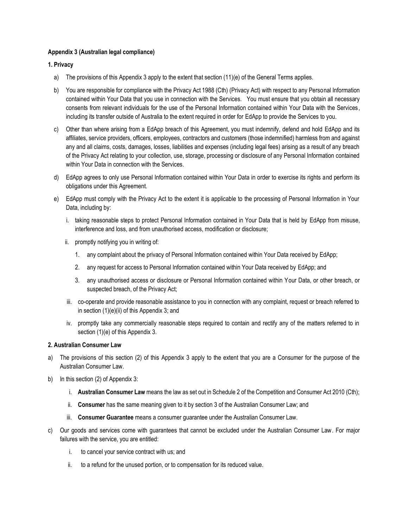#### **Appendix 3 (Australian legal compliance)**

#### **1. Privacy**

- a) The provisions of this Appendix 3 apply to the extent that section (11)(e) of the General Terms applies.
- b) You are responsible for compliance with the Privacy Act 1988 (Cth) (Privacy Act) with respect to any Personal Information contained within Your Data that you use in connection with the Services. You must ensure that you obtain all necessary consents from relevant individuals for the use of the Personal Information contained within Your Data with the Services, including its transfer outside of Australia to the extent required in order for EdApp to provide the Services to you.
- c) Other than where arising from a EdApp breach of this Agreement, you must indemnify, defend and hold EdApp and its affiliates, service providers, officers, employees, contractors and customers (those indemnified) harmless from and against any and all claims, costs, damages, losses, liabilities and expenses (including legal fees) arising as a result of any breach of the Privacy Act relating to your collection, use, storage, processing or disclosure of any Personal Information contained within Your Data in connection with the Services.
- d) EdApp agrees to only use Personal Information contained within Your Data in order to exercise its rights and perform its obligations under this Agreement.
- e) EdApp must comply with the Privacy Act to the extent it is applicable to the processing of Personal Information in Your Data, including by:
	- i. taking reasonable steps to protect Personal Information contained in Your Data that is held by EdApp from misuse, interference and loss, and from unauthorised access, modification or disclosure;
	- ii. promptly notifying you in writing of:
		- 1. any complaint about the privacy of Personal Information contained within Your Data received by EdApp;
		- 2. any request for access to Personal Information contained within Your Data received by EdApp; and
		- 3. any unauthorised access or disclosure or Personal Information contained within Your Data, or other breach, or suspected breach, of the Privacy Act;
	- iii. co-operate and provide reasonable assistance to you in connection with any complaint, request or breach referred to in section (1)(e)(ii) of this Appendix 3; and
	- iv. promptly take any commercially reasonable steps required to contain and rectify any of the matters referred to in section (1)(e) of this Appendix 3.

#### **2. Australian Consumer Law**

- a) The provisions of this section (2) of this Appendix 3 apply to the extent that you are a Consumer for the purpose of the Australian Consumer Law.
- b) In this section (2) of Appendix 3:
	- i. **Australian Consumer Law** means the law as set out in Schedule 2 of the Competition and Consumer Act 2010 (Cth);
	- ii. **Consumer** has the same meaning given to it by section 3 of the Australian Consumer Law; and
	- iii. **Consumer Guarantee** means a consumer guarantee under the Australian Consumer Law.
- c) Our goods and services come with guarantees that cannot be excluded under the Australian Consumer Law. For major failures with the service, you are entitled:
	- i. to cancel your service contract with us; and
	- ii. to a refund for the unused portion, or to compensation for its reduced value.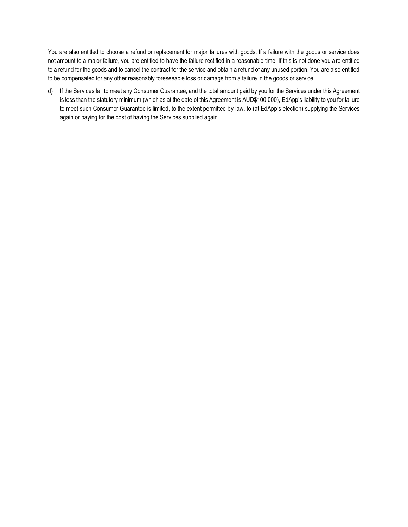You are also entitled to choose a refund or replacement for major failures with goods. If a failure with the goods or service does not amount to a major failure, you are entitled to have the failure rectified in a reasonable time. If this is not done you are entitled to a refund for the goods and to cancel the contract for the service and obtain a refund of any unused portion. You are also entitled to be compensated for any other reasonably foreseeable loss or damage from a failure in the goods or service.

d) If the Services fail to meet any Consumer Guarantee, and the total amount paid by you for the Services under this Agreement is less than the statutory minimum (which as at the date of this Agreement is AUD\$100,000), EdApp's liability to you for failure to meet such Consumer Guarantee is limited, to the extent permitted by law, to (at EdApp's election) supplying the Services again or paying for the cost of having the Services supplied again.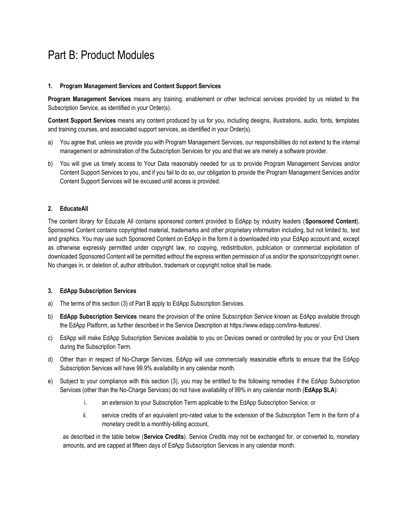### Part B: Product Modules

#### **1. Program Management Services and Content Support Services**

**Program Management Services** means any training, enablement or other technical services provided by us related to the Subscription Service, as identified in your Order(s).

**Content Support Services** means any content produced by us for you, including designs, illustrations, audio, fonts, templates and training courses, and associated support services, as identified in your Order(s).

- a) You agree that, unless we provide you with Program Management Services, our responsibilities do not extend to the internal management or administration of the Subscription Services for you and that we are merely a software provider.
- b) You will give us timely access to Your Data reasonably needed for us to provide Program Management Services and/or Content Support Services to you, and if you fail to do so, our obligation to provide the Program Management Services and/or Content Support Services will be excused until access is provided.

#### **2. EducateAll**

The content library for Educate All contains sponsored content provided to EdApp by industry leaders (**Sponsored Content**). Sponsored Content contains copyrighted material, trademarks and other proprietary information including, but not limited to, text and graphics. You may use such Sponsored Content on EdApp in the form it is downloaded into your EdApp account and, except as otherwise expressly permitted under copyright law, no copying, redistribution, publication or commercial exploitation of downloaded Sponsored Content will be permitted without the express written permission of us and/or the sponsor/copyright owner. No changes in, or deletion of, author attribution, trademark or copyright notice shall be made.

#### **3. EdApp Subscription Services**

- a) The terms of this section (3) of Part B apply to EdApp Subscription Services.
- b) **EdApp Subscription Services** means the provision of the online Subscription Service known as EdApp available through the EdApp Platform, as further described in the Service Description at https://www.edapp.com/lms-features/.
- c) EdApp will make EdApp Subscription Services available to you on Devices owned or controlled by you or your End Users during the Subscription Term.
- d) Other than in respect of No-Charge Services, EdApp will use commercially reasonable efforts to ensure that the EdApp Subscription Services will have 99.9% availability in any calendar month.
- e) Subject to your compliance with this section (3), you may be entitled to the following remedies if the EdApp Subscription Services (other than the No-Charge Services) do not have availability of 99% in any calendar month (**EdApp SLA**):
	- i. an extension to your Subscription Term applicable to the EdApp Subscription Service; or
	- ii. service credits of an equivalent pro-rated value to the extension of the Subscription Term in the form of a monetary credit to a monthly-billing account,

as described in the table below (**Service Credits**). Service Credits may not be exchanged for, or converted to, monetary amounts, and are capped at fifteen days of EdApp Subscription Services in any calendar month.